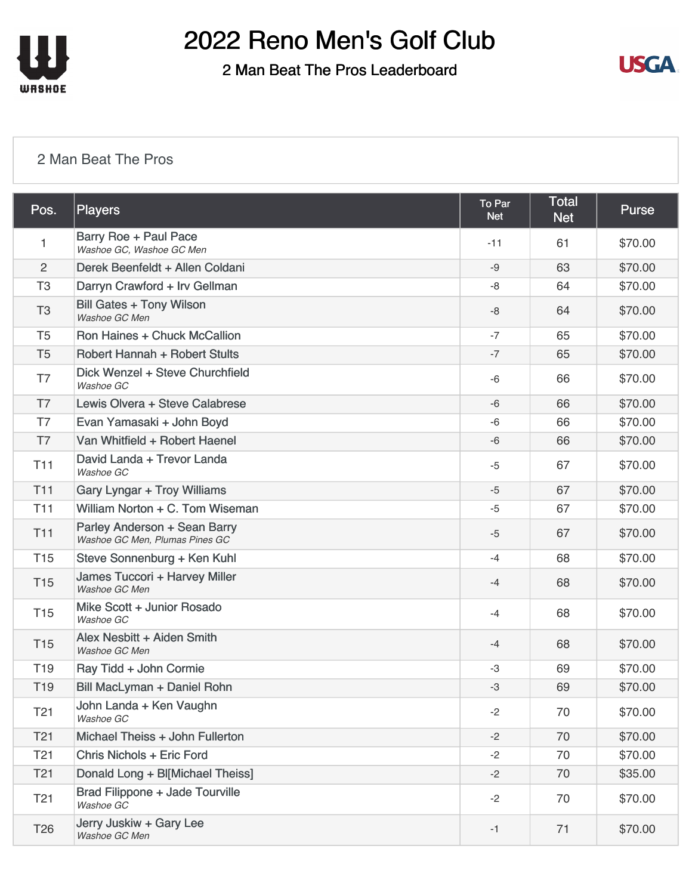

2 Man Beat The Pros Leaderboard



#### [2 Man Beat The Pros](https://static.golfgenius.com/v2tournaments/8161025254106356993?called_from=&round_index=4)

| Pos.            | Players                                                        | To Par<br><b>Net</b> | <b>Total</b><br><b>Net</b> | <b>Purse</b> |
|-----------------|----------------------------------------------------------------|----------------------|----------------------------|--------------|
| 1               | Barry Roe + Paul Pace<br>Washoe GC, Washoe GC Men              | $-11$                | 61                         | \$70.00      |
| $\overline{2}$  | Derek Beenfeldt + Allen Coldani                                | $-9$                 | 63                         | \$70.00      |
| T <sub>3</sub>  | Darryn Crawford + Irv Gellman                                  | -8                   | 64                         | \$70.00      |
| T <sub>3</sub>  | <b>Bill Gates + Tony Wilson</b><br>Washoe GC Men               | -8                   | 64                         | \$70.00      |
| T <sub>5</sub>  | Ron Haines + Chuck McCallion                                   | $-7$                 | 65                         | \$70.00      |
| T <sub>5</sub>  | <b>Robert Hannah + Robert Stults</b>                           | $-7$                 | 65                         | \$70.00      |
| T7              | Dick Wenzel + Steve Churchfield<br>Washoe GC                   | $-6$                 | 66                         | \$70.00      |
| T7              | Lewis Olvera + Steve Calabrese                                 | $-6$                 | 66                         | \$70.00      |
| T7              | Evan Yamasaki + John Boyd                                      | $-6$                 | 66                         | \$70.00      |
| T <sub>7</sub>  | Van Whitfield + Robert Haenel                                  | $-6$                 | 66                         | \$70.00      |
| <b>T11</b>      | David Landa + Trevor Landa<br>Washoe GC                        | $-5$                 | 67                         | \$70.00      |
| T11             | <b>Gary Lyngar + Troy Williams</b>                             | $-5$                 | 67                         | \$70.00      |
| <b>T11</b>      | William Norton + C. Tom Wiseman                                | $-5$                 | 67                         | \$70.00      |
| <b>T11</b>      | Parley Anderson + Sean Barry<br>Washoe GC Men, Plumas Pines GC | $-5$                 | 67                         | \$70.00      |
| <b>T15</b>      | Steve Sonnenburg + Ken Kuhl                                    | $-4$                 | 68                         | \$70.00      |
| <b>T15</b>      | James Tuccori + Harvey Miller<br>Washoe GC Men                 | $-4$                 | 68                         | \$70.00      |
| T <sub>15</sub> | Mike Scott + Junior Rosado<br>Washoe GC                        | $-4$                 | 68                         | \$70.00      |
| <b>T15</b>      | Alex Nesbitt + Aiden Smith<br>Washoe GC Men                    | $-4$                 | 68                         | \$70.00      |
| T <sub>19</sub> | Ray Tidd + John Cormie                                         | $-3$                 | 69                         | \$70.00      |
| T <sub>19</sub> | Bill MacLyman + Daniel Rohn                                    | -3                   | 69                         | \$70.00      |
| T <sub>21</sub> | John Landa + Ken Vaughn<br>Washoe GC                           | $-2$                 | 70                         | \$70.00      |
| T <sub>21</sub> | Michael Theiss + John Fullerton                                | $-2$                 | 70                         | \$70.00      |
| T <sub>21</sub> | Chris Nichols + Eric Ford                                      | $-2$                 | 70                         | \$70.00      |
| T <sub>21</sub> | Donald Long + Bl[Michael Theiss]                               | $-2$                 | 70                         | \$35.00      |
| T <sub>21</sub> | Brad Filippone + Jade Tourville<br>Washoe GC                   | $-2$                 | 70                         | \$70.00      |
| T <sub>26</sub> | Jerry Juskiw + Gary Lee<br>Washoe GC Men                       | $-1$                 | 71                         | \$70.00      |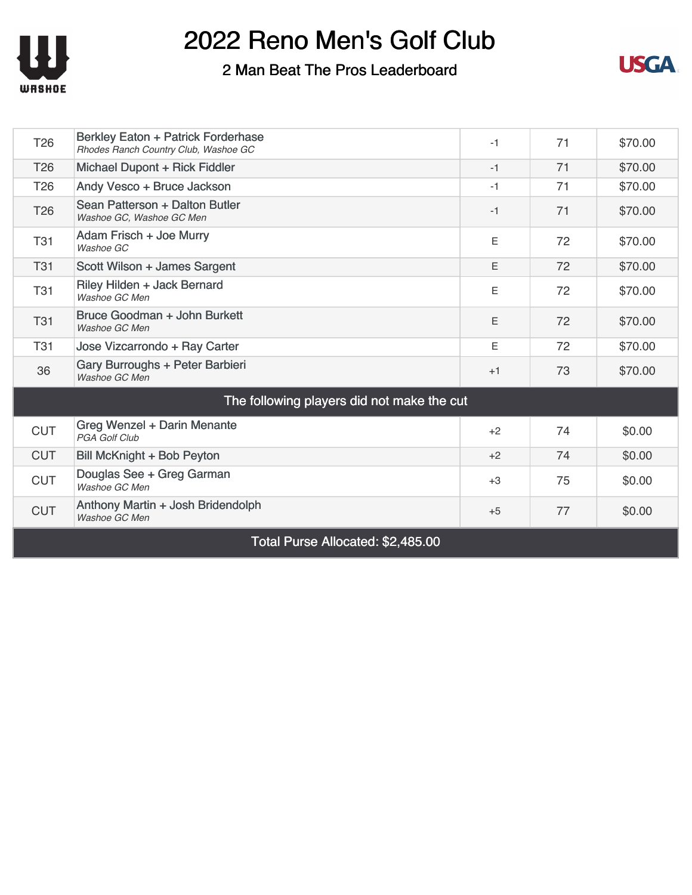

### 2 Man Beat The Pros Leaderboard



| T <sub>26</sub>                            | Berkley Eaton + Patrick Forderhase<br>Rhodes Ranch Country Club, Washoe GC | $-1$ | 71 | \$70.00 |  |  |
|--------------------------------------------|----------------------------------------------------------------------------|------|----|---------|--|--|
| T <sub>26</sub>                            | Michael Dupont + Rick Fiddler                                              | $-1$ | 71 | \$70.00 |  |  |
| T <sub>26</sub>                            | Andy Vesco + Bruce Jackson                                                 | $-1$ | 71 | \$70.00 |  |  |
| T <sub>26</sub>                            | Sean Patterson + Dalton Butler<br>Washoe GC, Washoe GC Men                 | $-1$ | 71 | \$70.00 |  |  |
| <b>T31</b>                                 | Adam Frisch + Joe Murry<br>Washoe GC                                       | E    | 72 | \$70.00 |  |  |
| <b>T31</b>                                 | Scott Wilson + James Sargent                                               | E    | 72 | \$70.00 |  |  |
| <b>T31</b>                                 | Riley Hilden + Jack Bernard<br>Washoe GC Men                               | E    | 72 | \$70.00 |  |  |
| <b>T31</b>                                 | Bruce Goodman + John Burkett<br>Washoe GC Men                              | E    | 72 | \$70.00 |  |  |
| <b>T31</b>                                 | Jose Vizcarrondo + Ray Carter                                              | F    | 72 | \$70.00 |  |  |
| 36                                         | Gary Burroughs + Peter Barbieri<br>Washoe GC Men                           | $+1$ | 73 | \$70.00 |  |  |
| The following players did not make the cut |                                                                            |      |    |         |  |  |
| <b>CUT</b>                                 | Greg Wenzel + Darin Menante<br><b>PGA Golf Club</b>                        | $+2$ | 74 | \$0.00  |  |  |
| <b>CUT</b>                                 | Bill McKnight + Bob Peyton                                                 | $+2$ | 74 | \$0.00  |  |  |
| <b>CUT</b>                                 | Douglas See + Greg Garman<br>Washoe GC Men                                 | $+3$ | 75 | \$0.00  |  |  |
| <b>CUT</b>                                 | Anthony Martin + Josh Bridendolph<br>Washoe GC Men                         | $+5$ | 77 | \$0.00  |  |  |
| Total Purse Allocated: \$2,485.00          |                                                                            |      |    |         |  |  |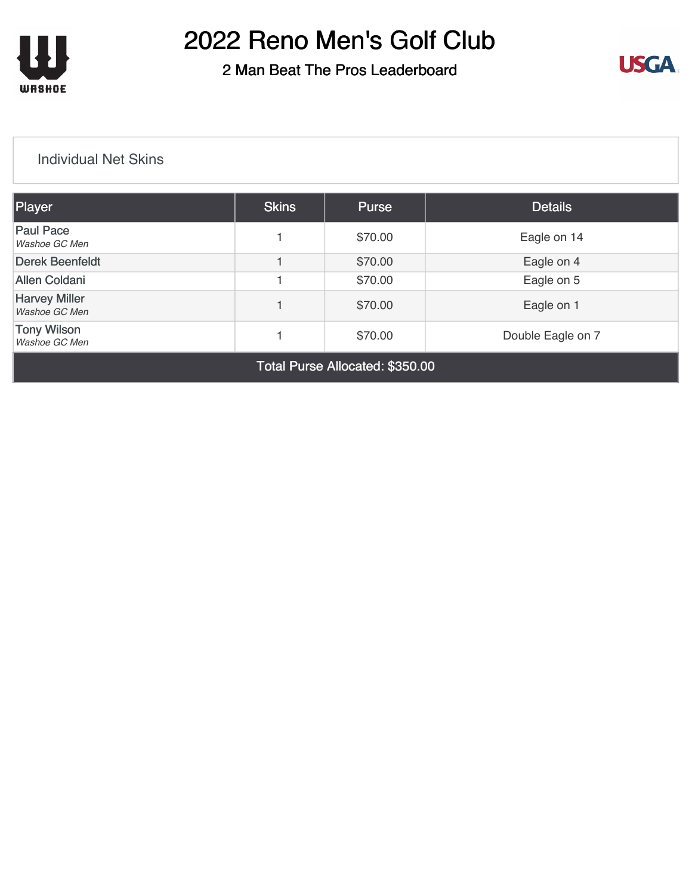

2 Man Beat The Pros Leaderboard



#### [Individual Net Skins](https://static.golfgenius.com/v2tournaments/8161025399564819730?called_from=&round_index=4)

| Player                                | <b>Skins</b> | <b>Purse</b> | <b>Details</b>    |
|---------------------------------------|--------------|--------------|-------------------|
| <b>Paul Pace</b><br>Washoe GC Men     |              | \$70.00      | Eagle on 14       |
| <b>Derek Beenfeldt</b>                |              | \$70.00      | Eagle on 4        |
| <b>Allen Coldani</b>                  |              | \$70.00      | Eagle on 5        |
| <b>Harvey Miller</b><br>Washoe GC Men |              | \$70.00      | Eagle on 1        |
| <b>Tony Wilson</b><br>Washoe GC Men   |              | \$70.00      | Double Eagle on 7 |

Total Purse Allocated: \$350.00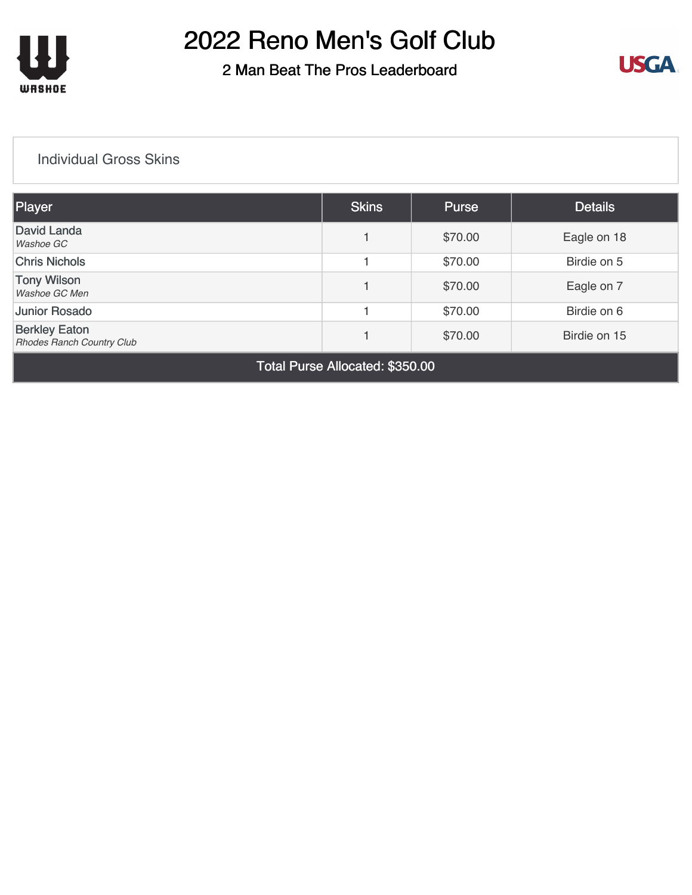

### 2 Man Beat The Pros Leaderboard



#### [Individual Gross Skins](https://static.golfgenius.com/v2tournaments/8161025516132916508?called_from=&round_index=4)

| Player                                                   | <b>Skins</b> | <b>Purse</b> | <b>Details</b> |
|----------------------------------------------------------|--------------|--------------|----------------|
| David Landa<br>Washoe GC                                 |              | \$70.00      | Eagle on 18    |
| <b>Chris Nichols</b>                                     |              | \$70.00      | Birdie on 5    |
| <b>Tony Wilson</b><br>Washoe GC Men                      |              | \$70.00      | Eagle on 7     |
| <b>Junior Rosado</b>                                     |              | \$70.00      | Birdie on 6    |
| <b>Berkley Eaton</b><br><b>Rhodes Ranch Country Club</b> |              | \$70.00      | Birdie on 15   |

Total Purse Allocated: \$350.00